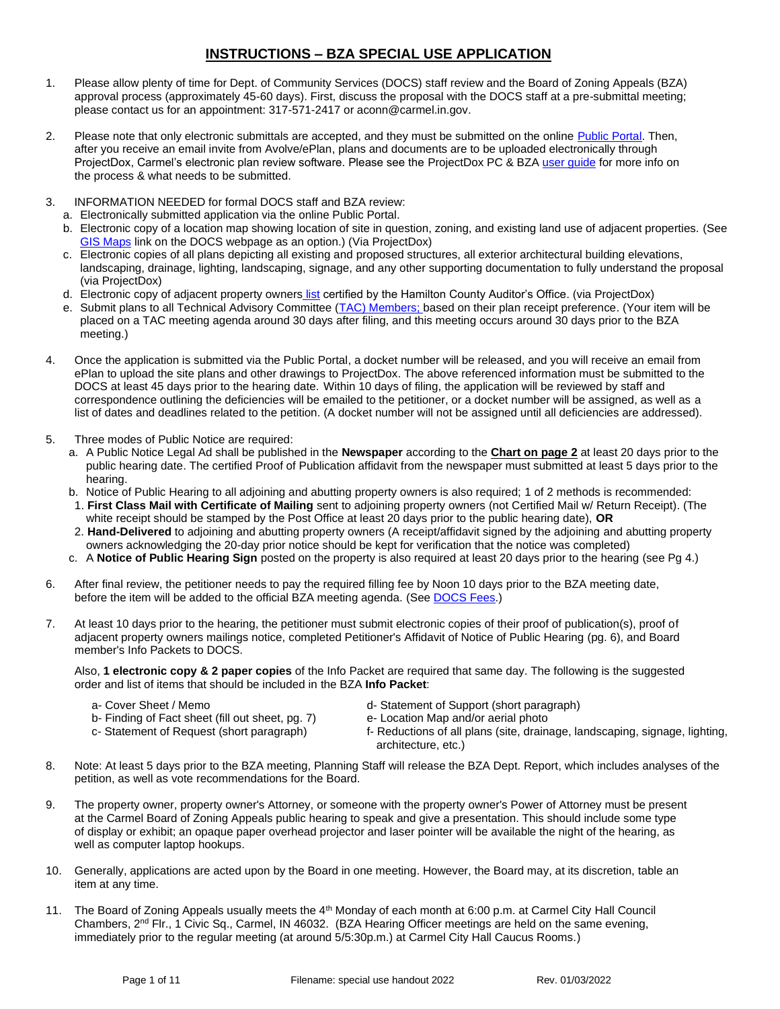# **INSTRUCTIONS – BZA SPECIAL USE APPLICATION**

- 1. Please allow plenty of time for Dept. of Community Services (DOCS) staff review and the Board of Zoning Appeals (BZA) approval process (approximately 45-60 days). First, discuss the proposal with the DOCS staff at a pre-submittal meeting; please contact us for an appointment: 317-571-2417 or aconn@carmel.in.gov.
- 2. Please note that only electronic submittals are accepted, and they must be submitted on the online [Public Portal.](https://cw.carmel.in.gov/PublicAccess/template/Login.aspx) Then, after you receive an email invite from Avolve/ePlan, plans and documents are to be uploaded electronically through ProjectDox, Carmel's electronic plan review software. Please see the ProjectDox PC & BZ[A user guide](https://www.carmel.in.gov/government/departments-services/community-services/projectdox-eplans) for more info on the process & what needs to be submitted.
- 3. INFORMATION NEEDED for formal DOCS staff and BZA review:
	- a. Electronically submitted application via the online Public Portal.
	- b. Electronic copy of a location map showing location of site in question, zoning, and existing land use of adjacent properties. (See [GIS Maps](https://carmelgis.carmel.in.gov/maps/apps/webappviewer/index.html?id=3005d15bb8ee47c48538605fa421a359&extent=-9600433.8691%2C4865462.0861%2C-9599860.5914%2C4865778.5832%2C102100) link on the DOCS webpage as an option.) (Via ProjectDox)
	- c. Electronic copies of all plans depicting all existing and proposed structures, all exterior architectural building elevations, landscaping, drainage, lighting, landscaping, signage, and any other supporting documentation to fully understand the proposal (via ProjectDox)
	- d. Electronic copy of adjacent property owners [list](https://www.hamiltoncounty.in.gov/369/Adjoiner-Property-Notifications) certified by the Hamilton County Auditor's Office. (via ProjectDox)
	- e. Submit plans to all Technical Advisory Committee [\(TAC\) Members;](http://www.carmel.in.gov/index.aspx?page=567) based on their plan receipt preference. (Your item will be placed on a TAC meeting agenda around 30 days after filing, and this meeting occurs around 30 days prior to the BZA meeting.)
- 4. Once the application is submitted via the Public Portal, a docket number will be released, and you will receive an email from ePlan to upload the site plans and other drawings to ProjectDox. The above referenced information must be submitted to the DOCS at least 45 days prior to the hearing date. Within 10 days of filing, the application will be reviewed by staff and correspondence outlining the deficiencies will be emailed to the petitioner, or a docket number will be assigned, as well as a list of dates and deadlines related to the petition. (A docket number will not be assigned until all deficiencies are addressed).
- 5. Three modes of Public Notice are required:
	- a. A Public Notice Legal Ad shall be published in the **Newspaper** according to the **Chart on page 2** at least 20 days prior to the public hearing date. The certified Proof of Publication affidavit from the newspaper must submitted at least 5 days prior to the hearing.
	- b. Notice of Public Hearing to all adjoining and abutting property owners is also required; 1 of 2 methods is recommended:
	- 1. **First Class Mail with Certificate of Mailing** sent to adjoining property owners (not Certified Mail w/ Return Receipt). (The white receipt should be stamped by the Post Office at least 20 days prior to the public hearing date), **OR**
	- 2. **Hand-Delivered** to adjoining and abutting property owners (A receipt/affidavit signed by the adjoining and abutting property owners acknowledging the 20-day prior notice should be kept for verification that the notice was completed)
	- c. A **Notice of Public Hearing Sign** posted on the property is also required at least 20 days prior to the hearing (see Pg 4.)
- 6. After final review, the petitioner needs to pay the required filling fee by Noon 10 days prior to the BZA meeting date, before the item will be added to the official BZA meeting agenda. (See [DOCS Fees.](https://www.carmel.in.gov/department-services/community-services-planning-and-zoning-/applications-fees-and-permits))
- 7. At least 10 days prior to the hearing, the petitioner must submit electronic copies of their proof of publication(s), proof of adjacent property owners mailings notice, completed Petitioner's Affidavit of Notice of Public Hearing (pg. 6), and Board member's Info Packets to DOCS.

Also, **1 electronic copy & 2 paper copies** of the Info Packet are required that same day. The following is the suggested order and list of items that should be included in the BZA **Info Packet**:

- 
- b- Finding of Fact sheet (fill out sheet, pg. 7) e- Location Map and/or aerial photo c- Statement of Request (short paragraph) f- Reductions of all plans (site, drain
- 
- a- Cover Sheet / Memo d- Statement of Support (short paragraph)
	-
	- f- Reductions of all plans (site, drainage, landscaping, signage, lighting, architecture, etc.)
- 8. Note: At least 5 days prior to the BZA meeting, Planning Staff will release the BZA Dept. Report, which includes analyses of the petition, as well as vote recommendations for the Board.
- 9. The property owner, property owner's Attorney, or someone with the property owner's Power of Attorney must be present at the Carmel Board of Zoning Appeals public hearing to speak and give a presentation. This should include some type of display or exhibit; an opaque paper overhead projector and laser pointer will be available the night of the hearing, as well as computer laptop hookups.
- 10. Generally, applications are acted upon by the Board in one meeting. However, the Board may, at its discretion, table an item at any time.
- 11. The Board of Zoning Appeals usually meets the 4<sup>th</sup> Monday of each month at 6:00 p.m. at Carmel City Hall Council Chambers, 2nd Flr., 1 Civic Sq., Carmel, IN 46032. (BZA Hearing Officer meetings are held on the same evening, immediately prior to the regular meeting (at around 5/5:30p.m.) at Carmel City Hall Caucus Rooms.)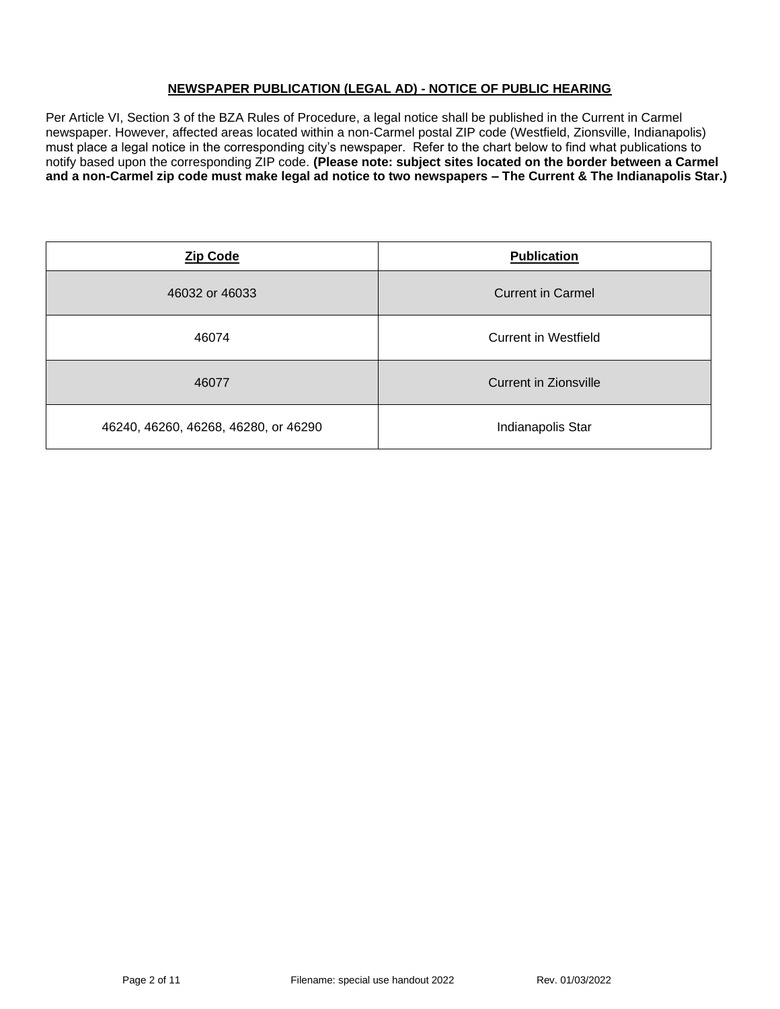## **NEWSPAPER PUBLICATION (LEGAL AD) - NOTICE OF PUBLIC HEARING**

Per Article VI, Section 3 of the BZA Rules of Procedure, a legal notice shall be published in the Current in Carmel newspaper. However, affected areas located within a non-Carmel postal ZIP code (Westfield, Zionsville, Indianapolis) must place a legal notice in the corresponding city's newspaper. Refer to the chart below to find what publications to notify based upon the corresponding ZIP code. **(Please note: subject sites located on the border between a Carmel and a non-Carmel zip code must make legal ad notice to two newspapers – The Current & The Indianapolis Star.)**

| <b>Zip Code</b>                      | <b>Publication</b>       |
|--------------------------------------|--------------------------|
| 46032 or 46033                       | <b>Current in Carmel</b> |
| 46074                                | Current in Westfield     |
| 46077                                | Current in Zionsville    |
| 46240, 46260, 46268, 46280, or 46290 | Indianapolis Star        |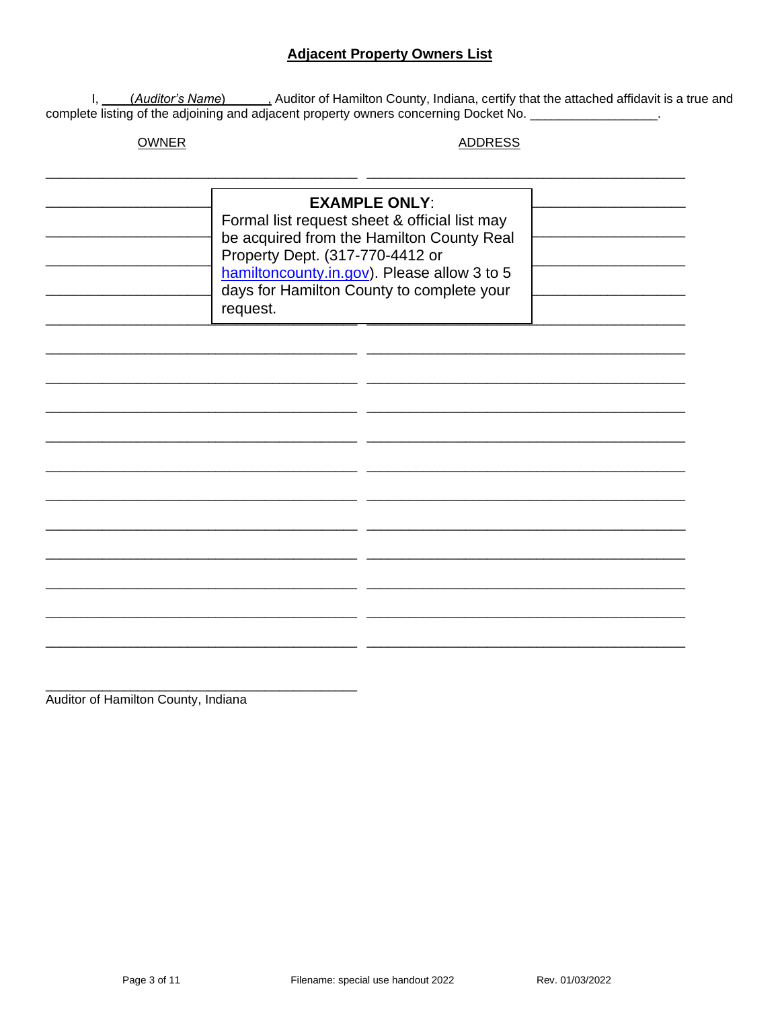## **Adjacent Property Owners List**

I, *(Auditor's Name)* Auditor of Hamilton County, Indiana, certify that the attached affidavit is a true and complete listing of the adjoining and adjacent property owners concerning Docket No.

**OWNER** 

**ADDRESS** 

| <b>EXAMPLE ONLY:</b><br>Formal list request sheet & official list may<br>be acquired from the Hamilton County Real<br>Property Dept. (317-770-4412 or<br>hamiltoncounty.in.gov). Please allow 3 to 5<br>days for Hamilton County to complete your<br>request. |  |  |
|---------------------------------------------------------------------------------------------------------------------------------------------------------------------------------------------------------------------------------------------------------------|--|--|
|                                                                                                                                                                                                                                                               |  |  |
|                                                                                                                                                                                                                                                               |  |  |
|                                                                                                                                                                                                                                                               |  |  |
|                                                                                                                                                                                                                                                               |  |  |
|                                                                                                                                                                                                                                                               |  |  |
|                                                                                                                                                                                                                                                               |  |  |

Auditor of Hamilton County, Indiana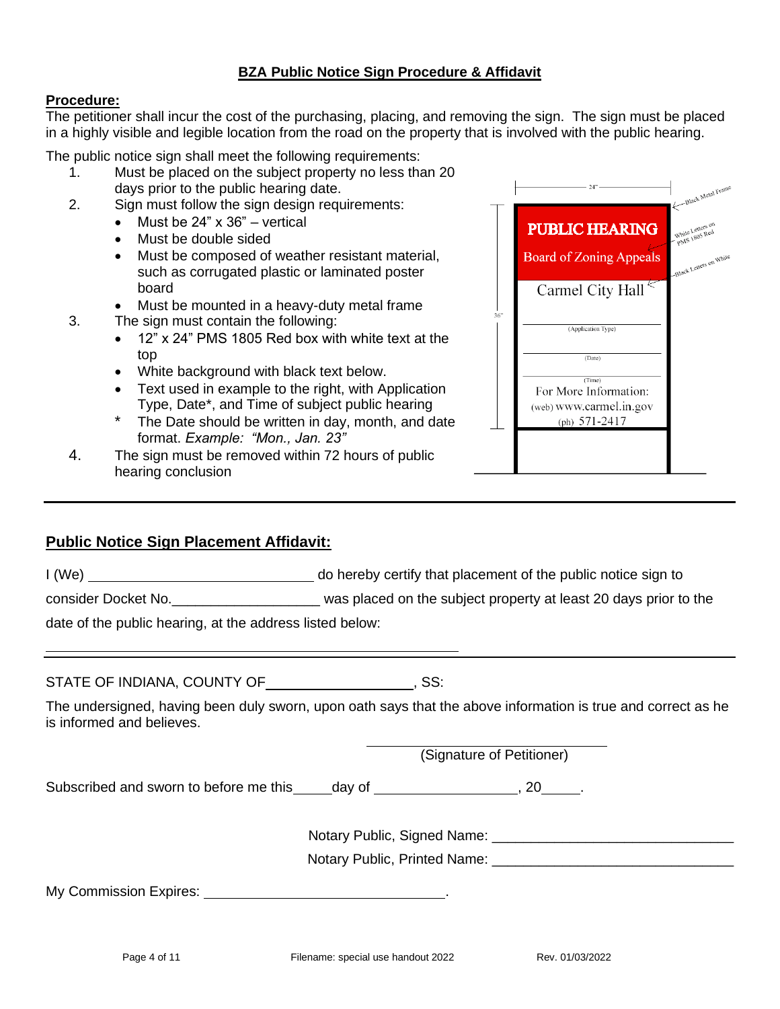# **BZA Public Notice Sign Procedure & Affidavit**

## **Procedure:**

The petitioner shall incur the cost of the purchasing, placing, and removing the sign. The sign must be placed in a highly visible and legible location from the road on the property that is involved with the public hearing.

The public notice sign shall meet the following requirements:

- 1. Must be placed on the subject property no less than 20 days prior to the public hearing date.
- 2. Sign must follow the sign design requirements:
	- Must be 24" x 36" vertical
	- Must be double sided
	- Must be composed of weather resistant material, such as corrugated plastic or laminated poster board
	- Must be mounted in a heavy-duty metal frame
- 3. The sign must contain the following:
	- 12" x 24" PMS 1805 Red box with white text at the top
	- White background with black text below.
	- Text used in example to the right, with Application Type, Date\*, and Time of subject public hearing
	- \* The Date should be written in day, month, and date format. *Example: "Mon., Jan. 23"*
- 4. The sign must be removed within 72 hours of public hearing conclusion

|     | 24"                                        | Black Metal Frame                |
|-----|--------------------------------------------|----------------------------------|
|     | <b>PUBLIC HEARING</b>                      | White Letters on<br>PMS 1805 Red |
|     | <b>Board of Zoning Appeals</b>             | -Black Letters on White          |
|     | Carmel City Hall                           |                                  |
| 36" | (Application Type)                         |                                  |
|     | (Date)                                     |                                  |
|     | (Time)<br>For More Information:            |                                  |
|     | (web) www.carmel.in.gov<br>(ph) $571-2417$ |                                  |
|     |                                            |                                  |
|     |                                            |                                  |

# **Public Notice Sign Placement Affidavit:**

I (We) do hereby certify that placement of the public notice sign to

consider Docket No.\_\_\_\_\_\_\_\_\_\_\_\_\_\_\_\_\_\_\_ was placed on the subject property at least 20 days prior to the

date of the public hearing, at the address listed below:

STATE OF INDIANA, COUNTY OF **FILLIPT SSECUTE** 

The undersigned, having been duly sworn, upon oath says that the above information is true and correct as he is informed and believes.

(Signature of Petitioner)

Subscribed and sworn to before me this \_\_\_\_\_day of \_\_\_\_\_\_\_\_\_\_\_\_\_\_\_\_\_\_\_\_\_, 20\_\_\_\_\_.

Notary Public, Signed Name:  $\blacksquare$ 

Notary Public, Printed Name: <u>manuscription</u>

My Commission Expires: .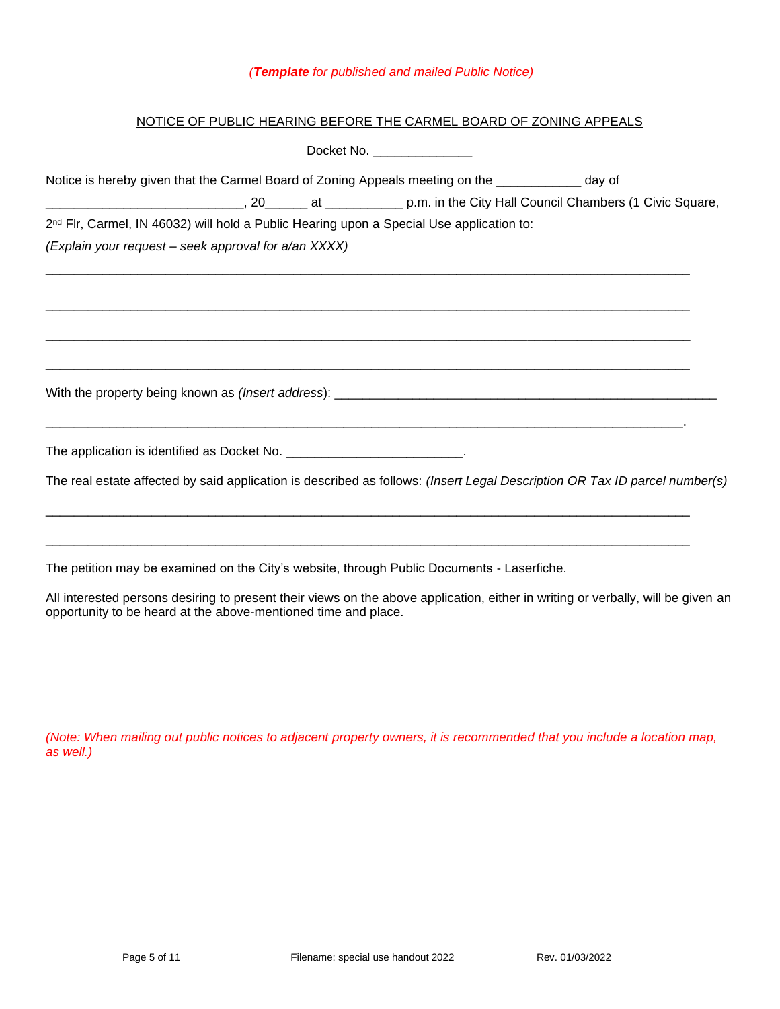### *(Template for published and mailed Public Notice)*

## NOTICE OF PUBLIC HEARING BEFORE THE CARMEL BOARD OF ZONING APPEALS

|                                                                                                                            |  | Docket No. ________________ |  |
|----------------------------------------------------------------------------------------------------------------------------|--|-----------------------------|--|
| Notice is hereby given that the Carmel Board of Zoning Appeals meeting on the ____________ day of                          |  |                             |  |
|                                                                                                                            |  |                             |  |
| 2 <sup>nd</sup> Flr, Carmel, IN 46032) will hold a Public Hearing upon a Special Use application to:                       |  |                             |  |
| (Explain your request - seek approval for a/an XXXX)                                                                       |  |                             |  |
|                                                                                                                            |  |                             |  |
|                                                                                                                            |  |                             |  |
|                                                                                                                            |  |                             |  |
|                                                                                                                            |  |                             |  |
| The application is identified as Docket No. __________________________.                                                    |  |                             |  |
| The real estate affected by said application is described as follows: (Insert Legal Description OR Tax ID parcel number(s) |  |                             |  |
|                                                                                                                            |  |                             |  |
| The petition may be examined on the City's website, through Public Documents - Laserfiche.                                 |  |                             |  |
| Antecedent and the contract of the contract of the contract of the contract of the contract of the contract of             |  |                             |  |

All interested persons desiring to present their views on the above application, either in writing or verbally, will be given an opportunity to be heard at the above-mentioned time and place.

*(Note: When mailing out public notices to adjacent property owners, it is recommended that you include a location map, as well.)*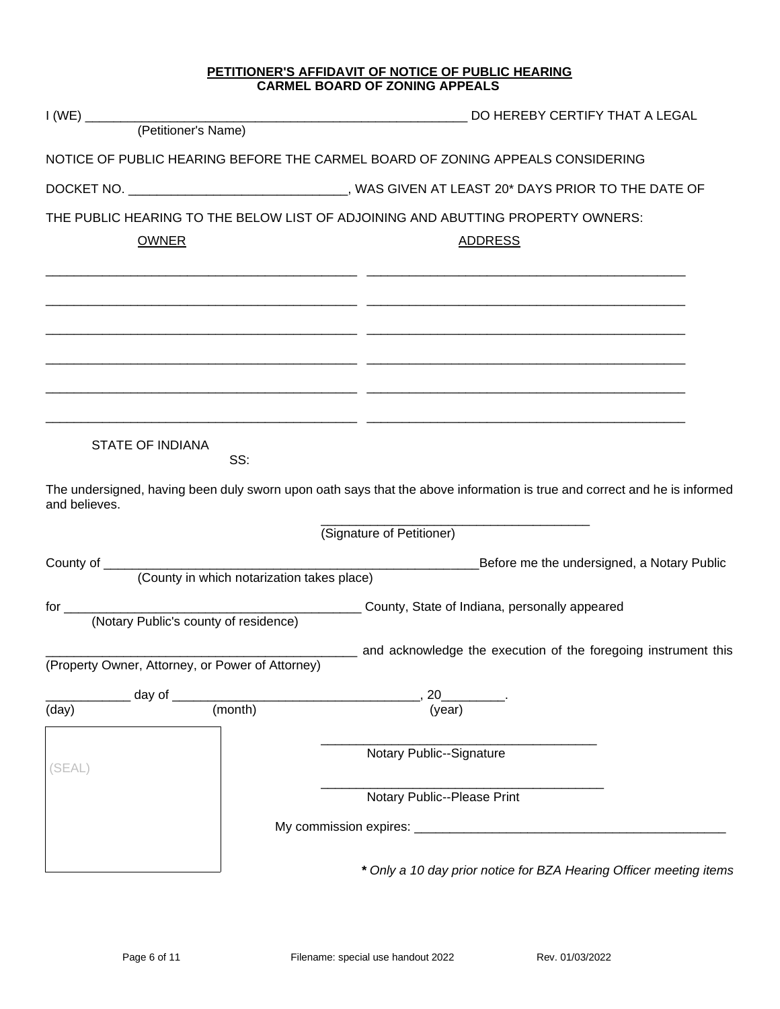#### **PETITIONER'S AFFIDAVIT OF NOTICE OF PUBLIC HEARING CARMEL BOARD OF ZONING APPEALS**

|               |                                                  | NOTICE OF PUBLIC HEARING BEFORE THE CARMEL BOARD OF ZONING APPEALS CONSIDERING                                           |
|---------------|--------------------------------------------------|--------------------------------------------------------------------------------------------------------------------------|
|               |                                                  | DOCKET NO. _________________________________, WAS GIVEN AT LEAST 20* DAYS PRIOR TO THE DATE OF                           |
|               |                                                  | THE PUBLIC HEARING TO THE BELOW LIST OF ADJOINING AND ABUTTING PROPERTY OWNERS:                                          |
|               | <b>OWNER</b>                                     | <b>ADDRESS</b>                                                                                                           |
|               |                                                  |                                                                                                                          |
|               |                                                  |                                                                                                                          |
|               |                                                  |                                                                                                                          |
|               |                                                  |                                                                                                                          |
|               |                                                  |                                                                                                                          |
|               |                                                  |                                                                                                                          |
|               | <b>STATE OF INDIANA</b><br>SS:                   |                                                                                                                          |
| and believes. |                                                  | The undersigned, having been duly sworn upon oath says that the above information is true and correct and he is informed |
|               |                                                  | (Signature of Petitioner)                                                                                                |
|               | (County in which notarization takes place)       | _Before me the undersigned, a Notary Public                                                                              |
|               |                                                  |                                                                                                                          |
|               |                                                  |                                                                                                                          |
|               |                                                  | _____ and acknowledge the execution of the foregoing instrument this                                                     |
|               | (Property Owner, Attorney, or Power of Attorney) |                                                                                                                          |
| (day)         | $\_$ day of $\_$<br>(month)                      | 20<br>(year)                                                                                                             |
|               |                                                  |                                                                                                                          |
|               |                                                  | Notary Public--Signature                                                                                                 |
| (SEAL)        |                                                  |                                                                                                                          |
|               |                                                  | Notary Public--Please Print                                                                                              |
|               |                                                  |                                                                                                                          |
|               |                                                  |                                                                                                                          |
|               |                                                  | * Only a 10 day prior notice for BZA Hearing Officer meeting items                                                       |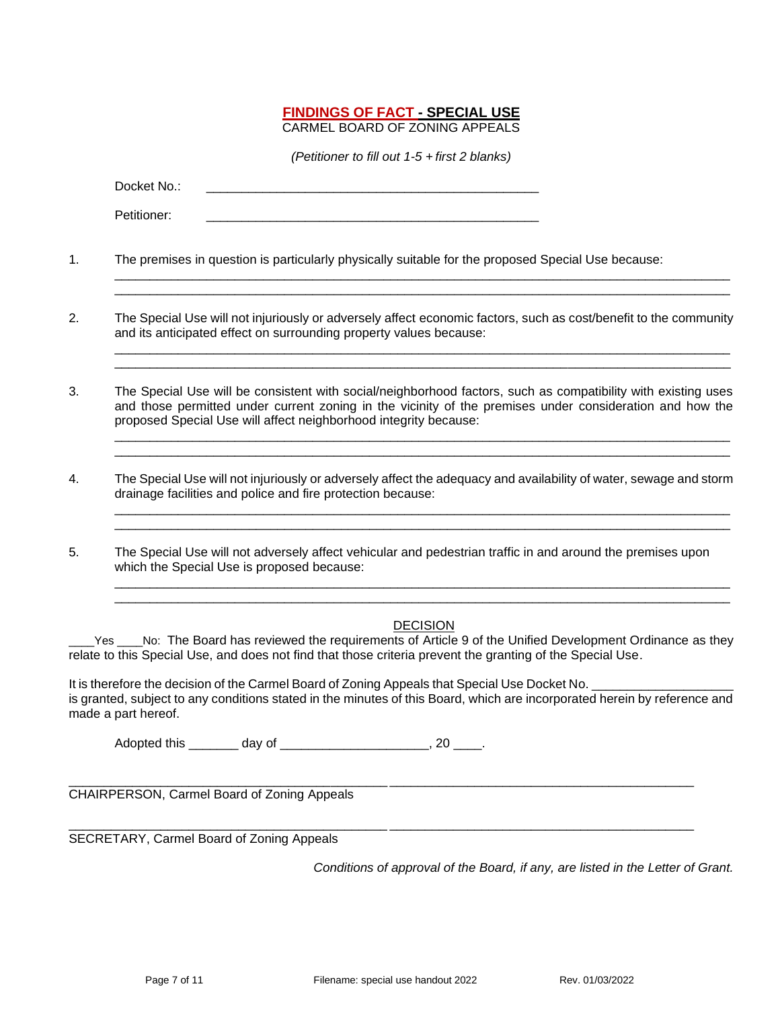### **FINDINGS OF FACT - SPECIAL USE** CARMEL BOARD OF ZONING APPEALS

*(Petitioner to fill out 1-5 + first 2 blanks)*

Docket No.:

Petitioner:

1. The premises in question is particularly physically suitable for the proposed Special Use because:

2. The Special Use will not injuriously or adversely affect economic factors, such as cost/benefit to the community and its anticipated effect on surrounding property values because:

\_\_\_\_\_\_\_\_\_\_\_\_\_\_\_\_\_\_\_\_\_\_\_\_\_\_\_\_\_\_\_\_\_\_\_\_\_\_\_\_\_\_\_\_\_\_\_\_\_\_\_\_\_\_\_\_\_\_\_\_\_\_\_\_\_\_\_\_\_\_\_\_\_\_\_\_\_\_\_\_\_\_\_\_\_\_\_ \_\_\_\_\_\_\_\_\_\_\_\_\_\_\_\_\_\_\_\_\_\_\_\_\_\_\_\_\_\_\_\_\_\_\_\_\_\_\_\_\_\_\_\_\_\_\_\_\_\_\_\_\_\_\_\_\_\_\_\_\_\_\_\_\_\_\_\_\_\_\_\_\_\_\_\_\_\_\_\_\_\_\_\_\_\_\_

\_\_\_\_\_\_\_\_\_\_\_\_\_\_\_\_\_\_\_\_\_\_\_\_\_\_\_\_\_\_\_\_\_\_\_\_\_\_\_\_\_\_\_\_\_\_\_\_\_\_\_\_\_\_\_\_\_\_\_\_\_\_\_\_\_\_\_\_\_\_\_\_\_\_\_\_\_\_\_\_\_\_\_\_\_\_\_ \_\_\_\_\_\_\_\_\_\_\_\_\_\_\_\_\_\_\_\_\_\_\_\_\_\_\_\_\_\_\_\_\_\_\_\_\_\_\_\_\_\_\_\_\_\_\_\_\_\_\_\_\_\_\_\_\_\_\_\_\_\_\_\_\_\_\_\_\_\_\_\_\_\_\_\_\_\_\_\_\_\_\_\_\_\_\_

\_\_\_\_\_\_\_\_\_\_\_\_\_\_\_\_\_\_\_\_\_\_\_\_\_\_\_\_\_\_\_\_\_\_\_\_\_\_\_\_\_\_\_\_\_\_\_\_\_\_\_\_\_\_\_\_\_\_\_\_\_\_\_\_\_\_\_\_\_\_\_\_\_\_\_\_\_\_\_\_\_\_\_\_\_\_\_ \_\_\_\_\_\_\_\_\_\_\_\_\_\_\_\_\_\_\_\_\_\_\_\_\_\_\_\_\_\_\_\_\_\_\_\_\_\_\_\_\_\_\_\_\_\_\_\_\_\_\_\_\_\_\_\_\_\_\_\_\_\_\_\_\_\_\_\_\_\_\_\_\_\_\_\_\_\_\_\_\_\_\_\_\_\_\_

\_\_\_\_\_\_\_\_\_\_\_\_\_\_\_\_\_\_\_\_\_\_\_\_\_\_\_\_\_\_\_\_\_\_\_\_\_\_\_\_\_\_\_\_\_\_\_\_\_\_\_\_\_\_\_\_\_\_\_\_\_\_\_\_\_\_\_\_\_\_\_\_\_\_\_\_\_\_\_\_\_\_\_\_\_\_\_ \_\_\_\_\_\_\_\_\_\_\_\_\_\_\_\_\_\_\_\_\_\_\_\_\_\_\_\_\_\_\_\_\_\_\_\_\_\_\_\_\_\_\_\_\_\_\_\_\_\_\_\_\_\_\_\_\_\_\_\_\_\_\_\_\_\_\_\_\_\_\_\_\_\_\_\_\_\_\_\_\_\_\_\_\_\_\_

- 3. The Special Use will be consistent with social/neighborhood factors, such as compatibility with existing uses and those permitted under current zoning in the vicinity of the premises under consideration and how the proposed Special Use will affect neighborhood integrity because:
- 4. The Special Use will not injuriously or adversely affect the adequacy and availability of water, sewage and storm drainage facilities and police and fire protection because:
- 5. The Special Use will not adversely affect vehicular and pedestrian traffic in and around the premises upon which the Special Use is proposed because:

### **DECISION**

\_\_\_\_\_\_\_\_\_\_\_\_\_\_\_\_\_\_\_\_\_\_\_\_\_\_\_\_\_\_\_\_\_\_\_\_\_\_\_\_\_\_\_\_\_\_\_\_\_\_\_\_\_\_\_\_\_\_\_\_\_\_\_\_\_\_\_\_\_\_\_\_\_\_\_\_\_\_\_\_\_\_\_\_\_\_\_ \_\_\_\_\_\_\_\_\_\_\_\_\_\_\_\_\_\_\_\_\_\_\_\_\_\_\_\_\_\_\_\_\_\_\_\_\_\_\_\_\_\_\_\_\_\_\_\_\_\_\_\_\_\_\_\_\_\_\_\_\_\_\_\_\_\_\_\_\_\_\_\_\_\_\_\_\_\_\_\_\_\_\_\_\_\_\_

Yes \_\_\_\_No: The Board has reviewed the requirements of Article 9 of the Unified Development Ordinance as they relate to this Special Use, and does not find that those criteria prevent the granting of the Special Use.

It is therefore the decision of the Carmel Board of Zoning Appeals that Special Use Docket No. is granted, subject to any conditions stated in the minutes of this Board, which are incorporated herein by reference and made a part hereof.

Adopted this \_\_\_\_\_\_\_\_ day of \_\_\_\_\_\_\_\_\_\_\_\_\_\_\_\_\_\_\_\_\_\_\_, 20 \_\_\_\_.

\_\_\_\_\_\_\_\_\_\_\_\_\_\_\_\_\_\_\_\_\_\_\_\_\_\_\_\_\_\_\_\_\_\_\_\_\_\_\_\_\_\_\_\_\_ \_\_\_\_\_\_\_\_\_\_\_\_\_\_\_\_\_\_\_\_\_\_\_\_\_\_\_\_\_\_\_\_\_\_\_\_\_\_\_\_\_\_\_ CHAIRPERSON, Carmel Board of Zoning Appeals

\_\_\_\_\_\_\_\_\_\_\_\_\_\_\_\_\_\_\_\_\_\_\_\_\_\_\_\_\_\_\_\_\_\_\_\_\_\_\_\_\_\_\_\_\_ \_\_\_\_\_\_\_\_\_\_\_\_\_\_\_\_\_\_\_\_\_\_\_\_\_\_\_\_\_\_\_\_\_\_\_\_\_\_\_\_\_\_\_ SECRETARY, Carmel Board of Zoning Appeals

*Conditions of approval of the Board, if any, are listed in the Letter of Grant.*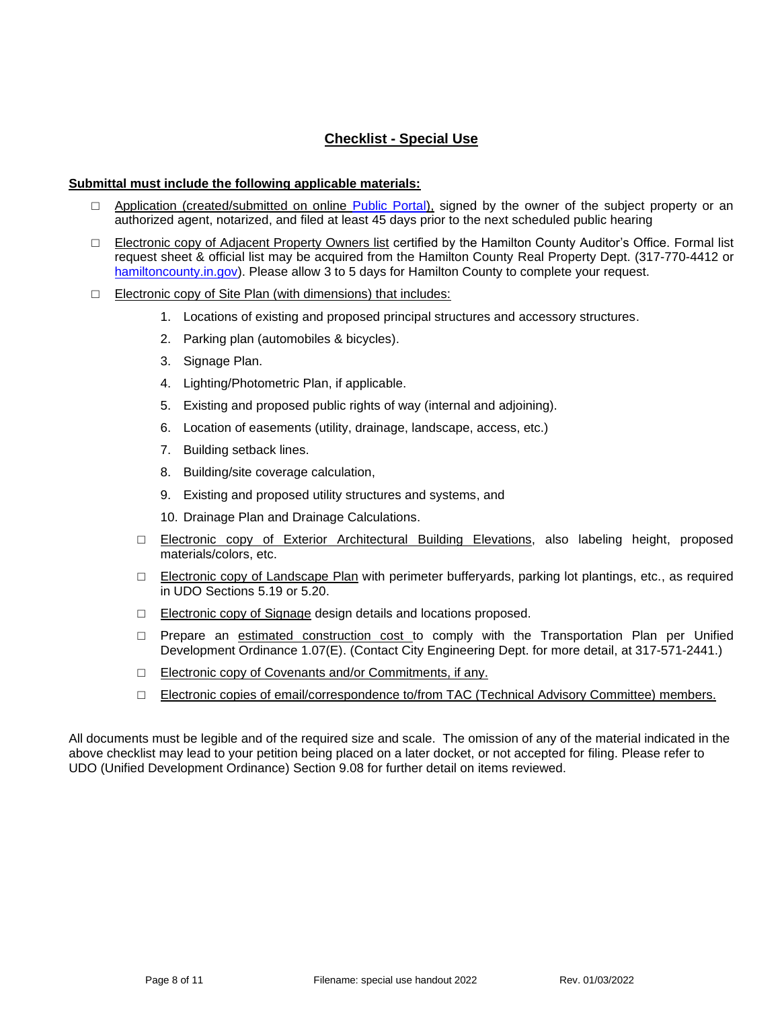# **Checklist - Special Use**

#### **Submittal must include the following applicable materials:**

- □ Application (created/submitted on online [Public Portal\)](https://cw.carmel.in.gov/PublicAccess/template/Login.aspx), signed by the owner of the subject property or an authorized agent, notarized, and filed at least 45 days prior to the next scheduled public hearing
- □ Electronic copy of Adjacent Property Owners list certified by the Hamilton County Auditor's Office. Formal list request sheet & official list may be acquired from the Hamilton County Real Property Dept. (317-770-4412 or [hamiltoncounty.in.gov\)](https://www.hamiltoncounty.in.gov/369/Adjoiner-Property-Notifications). Please allow 3 to 5 days for Hamilton County to complete your request.
- □ Electronic copy of Site Plan (with dimensions) that includes:
	- 1. Locations of existing and proposed principal structures and accessory structures.
	- 2. Parking plan (automobiles & bicycles).
	- 3. Signage Plan.
	- 4. Lighting/Photometric Plan, if applicable.
	- 5. Existing and proposed public rights of way (internal and adjoining).
	- 6. Location of easements (utility, drainage, landscape, access, etc.)
	- 7. Building setback lines.
	- 8. Building/site coverage calculation,
	- 9. Existing and proposed utility structures and systems, and
	- 10. Drainage Plan and Drainage Calculations.
	- □ Electronic copy of Exterior Architectural Building Elevations, also labeling height, proposed materials/colors, etc.
	- $\Box$  Electronic copy of Landscape Plan with perimeter bufferyards, parking lot plantings, etc., as required in UDO Sections 5.19 or 5.20.
	- □ Electronic copy of Signage design details and locations proposed.
	- $\Box$  Prepare an estimated construction cost to comply with the Transportation Plan per Unified Development Ordinance 1.07(E). (Contact City Engineering Dept. for more detail, at 317-571-2441.)
	- □ Electronic copy of Covenants and/or Commitments, if any.
	- □ Electronic copies of email/correspondence to/from TAC (Technical Advisory Committee) members.

All documents must be legible and of the required size and scale. The omission of any of the material indicated in the above checklist may lead to your petition being placed on a later docket, or not accepted for filing. Please refer to UDO (Unified Development Ordinance) Section 9.08 for further detail on items reviewed.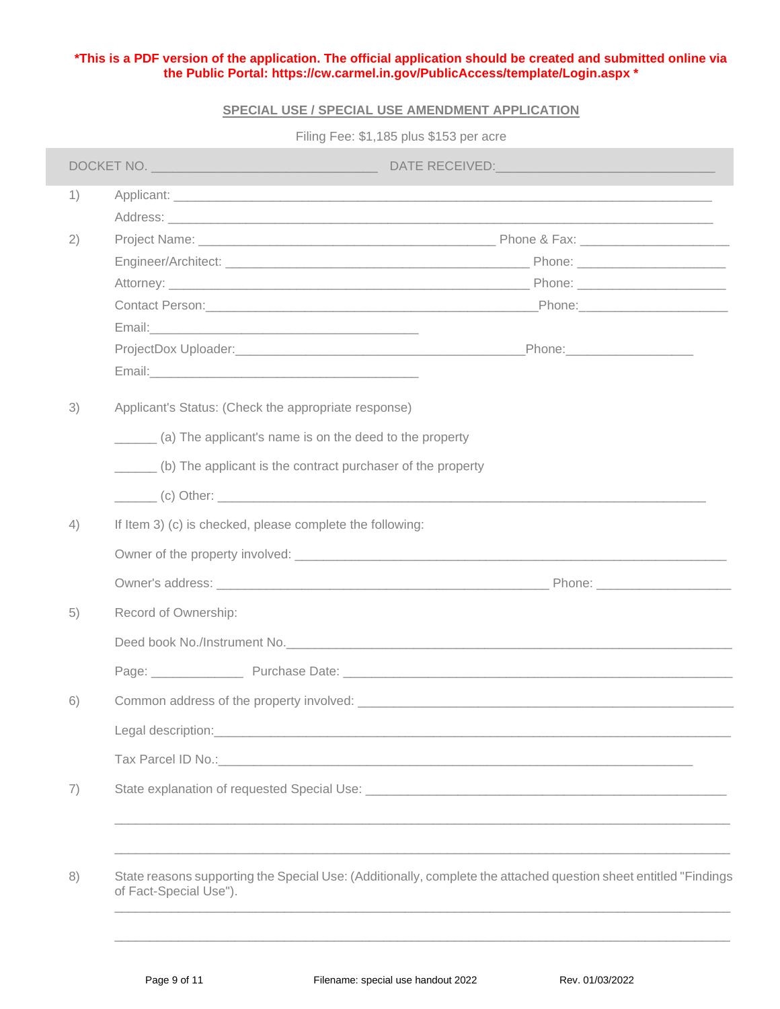### **\*This is a PDF version of the application. The official application should be created and submitted online via the Public Portal:<https://cw.carmel.in.gov/PublicAccess/template/Login.aspx> \***

### **SPECIAL USE / SPECIAL USE AMENDMENT APPLICATION**

Filing Fee: \$1,185 plus \$153 per acre

| 1) |                                                                                                                                              |                                                      |                                                                                                                  |  |  |
|----|----------------------------------------------------------------------------------------------------------------------------------------------|------------------------------------------------------|------------------------------------------------------------------------------------------------------------------|--|--|
|    |                                                                                                                                              |                                                      |                                                                                                                  |  |  |
| 2) |                                                                                                                                              |                                                      |                                                                                                                  |  |  |
|    |                                                                                                                                              |                                                      |                                                                                                                  |  |  |
|    |                                                                                                                                              |                                                      |                                                                                                                  |  |  |
|    |                                                                                                                                              |                                                      |                                                                                                                  |  |  |
|    |                                                                                                                                              |                                                      |                                                                                                                  |  |  |
|    |                                                                                                                                              |                                                      |                                                                                                                  |  |  |
|    |                                                                                                                                              |                                                      |                                                                                                                  |  |  |
| 3) |                                                                                                                                              | Applicant's Status: (Check the appropriate response) |                                                                                                                  |  |  |
|    | (a) The applicant's name is on the deed to the property                                                                                      |                                                      |                                                                                                                  |  |  |
|    | (b) The applicant is the contract purchaser of the property                                                                                  |                                                      |                                                                                                                  |  |  |
|    |                                                                                                                                              |                                                      |                                                                                                                  |  |  |
| 4) | If Item 3) (c) is checked, please complete the following:                                                                                    |                                                      |                                                                                                                  |  |  |
|    |                                                                                                                                              |                                                      |                                                                                                                  |  |  |
|    |                                                                                                                                              |                                                      |                                                                                                                  |  |  |
| 5) | Record of Ownership:                                                                                                                         |                                                      |                                                                                                                  |  |  |
|    | Deed book No./Instrument No.                                                                                                                 |                                                      |                                                                                                                  |  |  |
|    |                                                                                                                                              |                                                      |                                                                                                                  |  |  |
| 6) |                                                                                                                                              |                                                      |                                                                                                                  |  |  |
|    | Legal description:<br><u> 1989 - Johann Barn, mars ann an t-Amhainn an t-Amhainn an t-Amhainn an t-Amhainn an t-Amhainn an t-Amhainn an </u> |                                                      |                                                                                                                  |  |  |
|    |                                                                                                                                              |                                                      |                                                                                                                  |  |  |
| 7) |                                                                                                                                              |                                                      |                                                                                                                  |  |  |
|    |                                                                                                                                              |                                                      |                                                                                                                  |  |  |
|    |                                                                                                                                              |                                                      |                                                                                                                  |  |  |
| 8) | of Fact-Special Use").                                                                                                                       |                                                      | State reasons supporting the Special Use: (Additionally, complete the attached question sheet entitled "Findings |  |  |

\_\_\_\_\_\_\_\_\_\_\_\_\_\_\_\_\_\_\_\_\_\_\_\_\_\_\_\_\_\_\_\_\_\_\_\_\_\_\_\_\_\_\_\_\_\_\_\_\_\_\_\_\_\_\_\_\_\_\_\_\_\_\_\_\_\_\_\_\_\_\_\_\_\_\_\_\_\_\_\_\_\_\_\_\_\_\_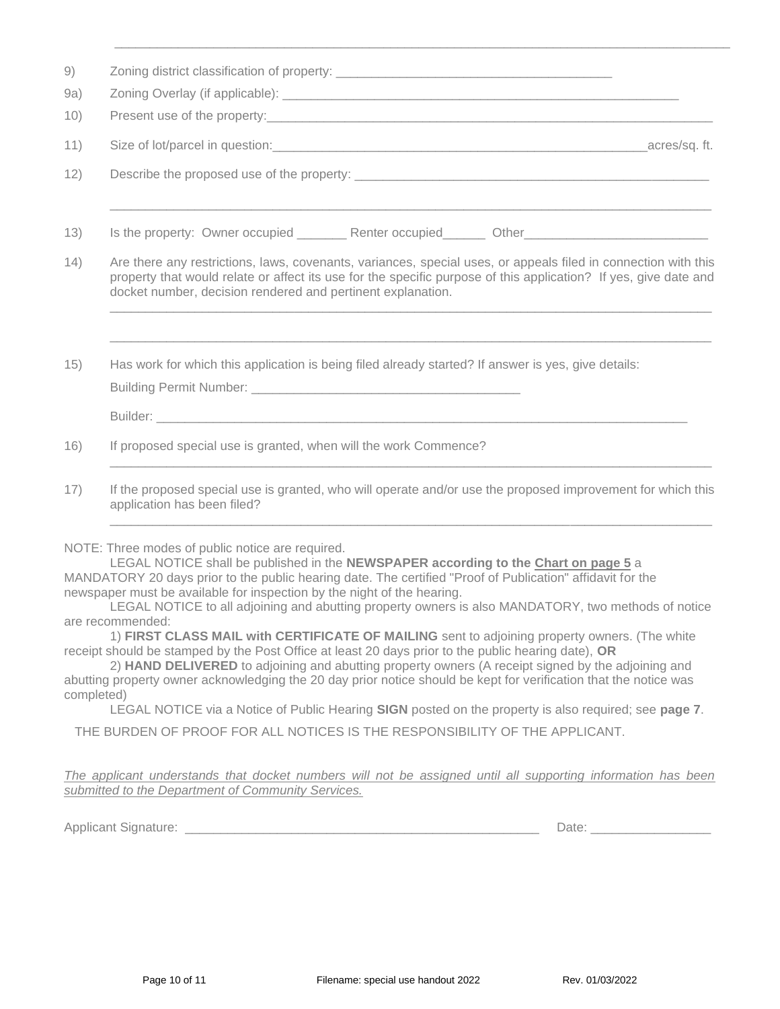| 9)   |                                                                                                                                                                                                                                                                                                   |
|------|---------------------------------------------------------------------------------------------------------------------------------------------------------------------------------------------------------------------------------------------------------------------------------------------------|
| 9a)  |                                                                                                                                                                                                                                                                                                   |
| 10)  |                                                                                                                                                                                                                                                                                                   |
| 11)  |                                                                                                                                                                                                                                                                                                   |
| 12)  |                                                                                                                                                                                                                                                                                                   |
| 13)  | Is the property: Owner occupied ___________ Renter occupied_________ Other__________________________                                                                                                                                                                                              |
| (14) | Are there any restrictions, laws, covenants, variances, special uses, or appeals filed in connection with this<br>property that would relate or affect its use for the specific purpose of this application? If yes, give date and<br>docket number, decision rendered and pertinent explanation. |
| 15)  | Has work for which this application is being filed already started? If answer is yes, give details:                                                                                                                                                                                               |
|      |                                                                                                                                                                                                                                                                                                   |
| 16)  | If proposed special use is granted, when will the work Commence?                                                                                                                                                                                                                                  |
| 17)  | If the proposed special use is granted, who will operate and/or use the proposed improvement for which this<br>application has been filed?                                                                                                                                                        |

\_\_\_\_\_\_\_\_\_\_\_\_\_\_\_\_\_\_\_\_\_\_\_\_\_\_\_\_\_\_\_\_\_\_\_\_\_\_\_\_\_\_\_\_\_\_\_\_\_\_\_\_\_\_\_\_\_\_\_\_\_\_\_\_\_\_\_\_\_\_\_\_\_\_\_\_\_\_\_\_\_\_\_\_\_\_\_

NOTE: Three modes of public notice are required.

LEGAL NOTICE shall be published in the **NEWSPAPER according to the Chart on page 5** a MANDATORY 20 days prior to the public hearing date. The certified "Proof of Publication" affidavit for the newspaper must be available for inspection by the night of the hearing.

LEGAL NOTICE to all adjoining and abutting property owners is also MANDATORY, two methods of notice are recommended:

\_\_\_\_\_\_\_\_\_\_\_\_\_\_\_\_\_\_\_\_\_\_\_\_\_\_\_\_\_\_\_\_\_\_\_\_\_\_\_\_\_\_\_\_\_\_\_\_\_\_\_\_\_\_\_\_\_\_\_\_\_\_\_\_\_\_\_\_\_\_\_\_\_\_\_\_\_\_\_\_\_\_\_\_\_

1) **FIRST CLASS MAIL with CERTIFICATE OF MAILING** sent to adjoining property owners. (The white receipt should be stamped by the Post Office at least 20 days prior to the public hearing date), **OR**

2) **HAND DELIVERED** to adjoining and abutting property owners (A receipt signed by the adjoining and abutting property owner acknowledging the 20 day prior notice should be kept for verification that the notice was completed)

LEGAL NOTICE via a Notice of Public Hearing **SIGN** posted on the property is also required; see **page 7**.

THE BURDEN OF PROOF FOR ALL NOTICES IS THE RESPONSIBILITY OF THE APPLICANT.

*The applicant understands that docket numbers will not be assigned until all supporting information has been submitted to the Department of Community Services.*

Applicant Signature: \_\_\_\_\_\_\_\_\_\_\_\_\_\_\_\_\_\_\_\_\_\_\_\_\_\_\_\_\_\_\_\_\_\_\_\_\_\_\_\_\_\_\_\_\_\_\_\_\_\_ Date: \_\_\_\_\_\_\_\_\_\_\_\_\_\_\_\_\_